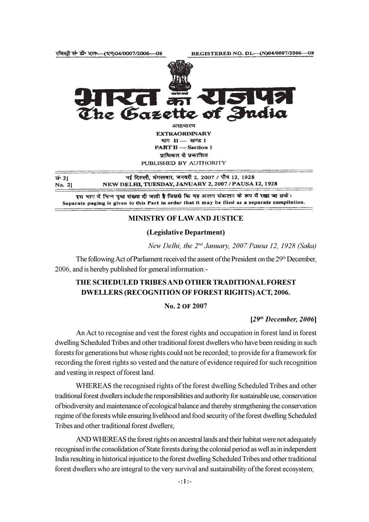रजिस्टी सं डी॰ एल- (एन)04/0007/2006-08



**EXTRAORDINARY** भाग H- खण्ड 1 **PART II** - Section 1 प्राधिकार से प्रकाशित PUBLISHED BY AUTHORITY

नई दिल्ली, मंगलवार, जनवरी 2, 2007 / पौष 12, 1928 सं॰ 21 NEW DELHI, TUESDAY, JANUARY 2, 2007 / PAUSA 12, 1928 No. 21

इस भाग में भिन्न पृष्ठ संख्या दी जाती है जिससे कि यह अलग संकलन के रूप में रखा जा सके। Separate paging is given to this Part in order that it may be filed as a separate compilation.

### **MINISTRY OF LAWAND JUSTICE**

### (Legislative Department)

New Delhi, the 2<sup>nd</sup> January, 2007/Pausa 12, 1928 (Saka)

The following Act of Parliament received the assent of the President on the 29<sup>th</sup> December, 2006, and is hereby published for general information:-

# THE SCHEDULED TRIBES AND OTHER TRADITIONAL FOREST **DWELLERS (RECOGNITION OF FOREST RIGHTS) ACT, 2006.**

### No. 2 OF 2007

### $[29<sup>th</sup> December, 2006]$

An Act to recognise and vest the forest rights and occupation in forest land in forest dwelling Scheduled Tribes and other traditional forest dwellers who have been residing in such forests for generations but whose rights could not be recorded; to provide for a framework for recording the forest rights so vested and the nature of evidence required for such recognition and vesting in respect of forest land.

WHEREAS the recognised rights of the forest dwelling Scheduled Tribes and other traditional forest dwellers include the responsibilities and authority for sustainable use, conservation of biodiversity and maintenance of ecological balance and thereby strengthening the conservation regime of the forests while ensuring livelihood and food security of the forest dwelling Scheduled Tribes and other traditional forest dwellers;

AND WHEREAS the forest rights on ancestral lands and their habitat were not adequately recognised in the consolidation of State forests during the colonial period as well as in independent India resulting in historical injustice to the forest dwelling Scheduled Tribes and other traditional forest dwellers who are integral to the very survival and sustainability of the forest ecosystem;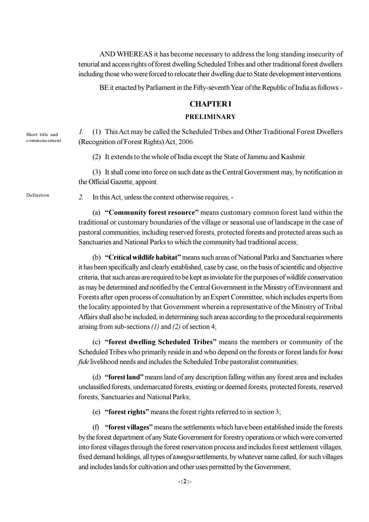AND WHEREAS it has become necessary to address the long standing insecurity of tenurial and access rights of forest dwelling Scheduled Tribes and other traditional forest dwellers including those who were forced to relocate their dwelling due to State development interventions.

BE it enacted by Parliament in the Fifty-seventh Year of the Republic of India as follows:-

# **CHAPTERI**

### **PRELIMINARY**

 $\overline{I}$ . (1) This Act may be called the Scheduled Tribes and Other Traditional Forest Dwellers (Recognition of Forest Rights) Act, 2006.

(2) It extends to the whole of India except the State of Jammu and Kashmir.

(3) It shall come into force on such date as the Central Government may, by notification in the Official Gazette, appoint.

Definition

Short title and commencement.

> $2.$ In this Act, unless the context otherwise requires, -

(a) "Community forest resource" means customary common forest land within the traditional or customary boundaries of the village or seasonal use of landscape in the case of pastoral communities, including reserved forests, protected forests and protected areas such as Sanctuaries and National Parks to which the community had traditional access:

(b) "Critical wildlife habitat" means such areas of National Parks and Sanctuaries where it has been specifically and clearly established, case by case, on the basis of scientific and objective criteria, that such areas are required to be kept as inviolate for the purposes of wildlife conservation as may be determined and notified by the Central Government in the Ministry of Environment and Forests after open process of consultation by an Expert Committee, which includes experts from the locality appointed by that Government wherein a representative of the Ministry of Tribal Affairs shall also be included, in determining such areas according to the procedural requirements arising from sub-sections  $(1)$  and  $(2)$  of section 4;

(c) "forest dwelling Scheduled Tribes" means the members or community of the Scheduled Tribes who primarily reside in and who depend on the forests or forest lands for bona fide livelihood needs and includes the Scheduled Tribe pastoralist communities;

(d) "forest land" means land of any description falling within any forest area and includes unclassified forests, undemarcated forests, existing or deemed forests, protected forests, reserved forests, Sanctuaries and National Parks;

(e) "forest rights" means the forest rights referred to in section 3;

(f) "forest villages" means the settlements which have been established inside the forests by the forest department of any State Government for forestry operations or which were converted into forest villages through the forest reservation process and includes forest settlement villages, fixed demand holdings, all types of *taungya* settlements, by whatever name called, for such villages and includes lands for cultivation and other uses permitted by the Government;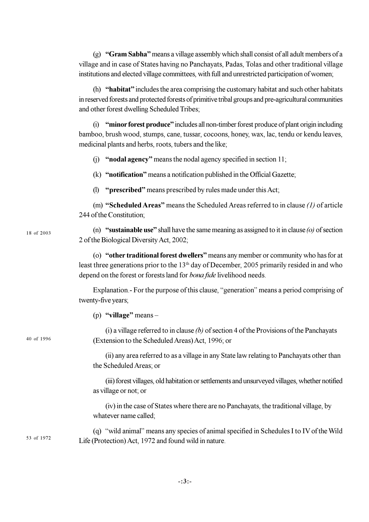(g) "Gram Sabha" means a village assembly which shall consist of all adult members of a village and in case of States having no Panchayats, Padas, Tolas and other traditional village institutions and elected village committees, with full and unrestricted participation of women;

(h) "habitat" includes the area comprising the customary habitat and such other habitats in reserved forests and protected forests of primitive tribal groups and pre-agricultural communities and other forest dwelling Scheduled Tribes;

(i) "minor forest produce" includes all non-timber forest produce of plant origin including bamboo, brush wood, stumps, cane, tussar, cocoons, honey, wax, lac, tendu or kendu leaves, medicinal plants and herbs, roots, tubers and the like;

(i) "nodal agency" means the nodal agency specified in section  $11$ ;

(k) "notification" means a notification published in the Official Gazette;

(1) "prescribed" means prescribed by rules made under this Act;

(m) "Scheduled Areas" means the Scheduled Areas referred to in clause  $(1)$  of article 244 of the Constitution

18 of 2003

40 of 1996

(n) "sustainable use" shall have the same meaning as assigned to it in clause (o) of section 2 of the Biological Diversity Act, 2002;

(o) "other traditional forest dwellers" means any member or community who has for at least three generations prior to the 13<sup>th</sup> day of December, 2005 primarily resided in and who depend on the forest or forests land for *bona fide* livelihood needs.

Explanation - For the purpose of this clause, "generation" means a period comprising of twenty-five years;

(p) "village" means  $-$ 

(i) a village referred to in clause  $(b)$  of section 4 of the Provisions of the Panchayats (Extension to the Scheduled Areas) Act, 1996; or

(ii) any area referred to as a village in any State law relating to Panchayats other than the Scheduled Areas: or

(iii) forest villages, old habitation or settlements and unsurveyed villages, whether notified as village or not; or

(iv) in the case of States where there are no Panchayats, the traditional village, by whatever name called;

(q) "wild animal" means any species of animal specified in Schedules I to IV of the Wild 53 of 1972 Life (Protection) Act, 1972 and found wild in nature.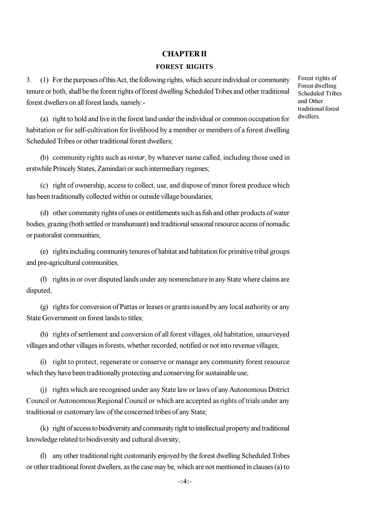## **CHAPTER II**

### **FOREST RIGHTS**

(1) For the purposes of this Act, the following rights, which secure individual or community  $\mathfrak{Z}$ tenure or both, shall be the forest rights of forest dwelling Scheduled Tribes and other traditional forest dwellers on all forest lands, namely:-

Forest rights of Forest dwelling **Scheduled Tribes** and Other traditional forest dwellers.

(a) right to hold and live in the forest land under the individual or common occupation for habitation or for self-cultivation for livelihood by a member or members of a forest dwelling Scheduled Tribes or other traditional forest dwellers;

(b) community rights such as *nistar*, by whatever name called, including those used in erstwhile Princely States, Zamindari or such intermediary regimes;

(c) right of ownership, access to collect, use, and dispose of minor forest produce which has been traditionally collected within or outside village boundaries;

(d) other community rights of uses or entitlements such as fish and other products of water bodies, grazing (both settled or transhumant) and traditional seasonal resource access of nomadic or pastoralist communities.

(e) rights including community tenures of habitat and habitation for primitive tribal groups and pre-agricultural communities;

(f) rights in or over disputed lands under any nomenclature in any State where claims are disputed;

(g) rights for conversion of Pattas or leases or grants issued by any local authority or any State Government on forest lands to titles:

(h) rights of settlement and conversion of all forest villages, old habitation, unsurveyed villages and other villages in forests, whether recorded, notified or not into revenue villages;

(i) right to protect, regenerate or conserve or manage any community forest resource which they have been traditionally protecting and conserving for sustainable use;

(i) rights which are recognised under any State law or laws of any Autonomous District Council or Autonomous Regional Council or which are accepted as rights of trials under any traditional or customary law of the concerned tribes of any State;

(k) right of access to biodiversity and community right to intellectual property and traditional knowledge related to biodiversity and cultural diversity;

(l) any other traditional right customarily enjoyed by the forest dwelling Scheduled Tribes or other traditional forest dwellers, as the case may be, which are not mentioned in clauses (a) to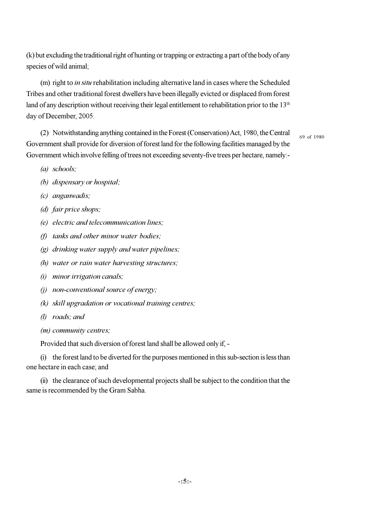(k) but excluding the traditional right of hunting or trapping or extracting a part of the body of any species of wild animal:

(m) right to *in situ* rehabilitation including alternative land in cases where the Scheduled Tribes and other traditional forest dwellers have been illegally evicted or displaced from forest land of any description without receiving their legal entitlement to rehabilitation prior to the 13<sup>th</sup> day of December, 2005.

(2) Notwithstanding anything contained in the Forest (Conservation) Act, 1980, the Central Government shall provide for diversion of forest land for the following facilities managed by the Government which involve felling of trees not exceeding seventy-five trees per hectare, namely:-

69 of 1980

- $(a)$  schools;
- (b) dispensary or hospital;
- $(c)$  anganwadis;
- (d) fair price shops;
- (e) electric and telecommunication lines;
- $(f)$  tanks and other minor water bodies;
- $(g)$  drinking water supply and water pipelines;
- (h) water or rain water harvesting structures;
- $(i)$  minor irrigation canals;
- $(i)$  non-conventional source of energy;
- $(k)$  skill upgradation or vocational training centres;
- $(l)$  roads: and
- $(m)$  community centres;

Provided that such diversion of forest land shall be allowed only if, -

(i) the forest land to be diverted for the purposes mentioned in this sub-section is less than one hectare in each case; and

(ii) the clearance of such developmental projects shall be subject to the condition that the same is recommended by the Gram Sabha.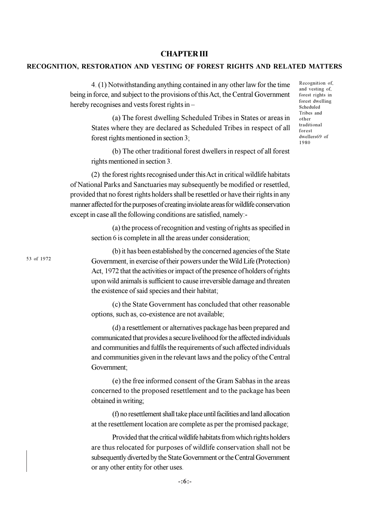**CHAPTER III** 

RECOGNITION, RESTORATION AND VESTING OF FOREST RIGHTS AND RELATED MATTERS

being in force, and subject to the provisions of this Act, the Central Government

hereby recognises and vests forest rights in -

(a) The forest dwelling Scheduled Tribes in States or areas in States where they are declared as Scheduled Tribes in respect of all forest rights mentioned in section 3;

4. (1) Notwithstanding anything contained in any other law for the time

(b) The other traditional forest dwellers in respect of all forest rights mentioned in section 3.

(2) the forest rights recognised under this Act in critical wildlife habitats of National Parks and Sanctuaries may subsequently be modified or resettled, provided that no forest rights holders shall be resettled or have their rights in any manner affected for the purposes of creating inviolate areas for wildlife conservation except in case all the following conditions are satisfied, namely:-

(a) the process of recognition and vesting of rights as specified in section 6 is complete in all the areas under consideration;

(b) it has been established by the concerned agencies of the State Government, in exercise of their powers under the Wild Life (Protection) Act, 1972 that the activities or impact of the presence of holders of rights upon wild animals is sufficient to cause irreversible damage and threaten the existence of said species and their habitat;

(c) the State Government has concluded that other reasonable options, such as, co-existence are not available;

(d) a resettlement or alternatives package has been prepared and communicated that provides a secure livelihood for the affected individuals and communities and fulfils the requirements of such affected individuals and communities given in the relevant laws and the policy of the Central Government:

(e) the free informed consent of the Gram Sabhas in the areas concerned to the proposed resettlement and to the package has been obtained in writing;

(f) no resettlement shall take place until facilities and land allocation at the resettlement location are complete as per the promised package;

Provided that the critical wildlife habitats from which rights holders are thus relocated for purposes of wildlife conservation shall not be subsequently diverted by the State Government or the Central Government or any other entity for other uses.

53 of 1972

Recognition of, and vesting of, forest rights in forest dwelling Scheduled Tribes and other traditional forest dwellers69 of 1980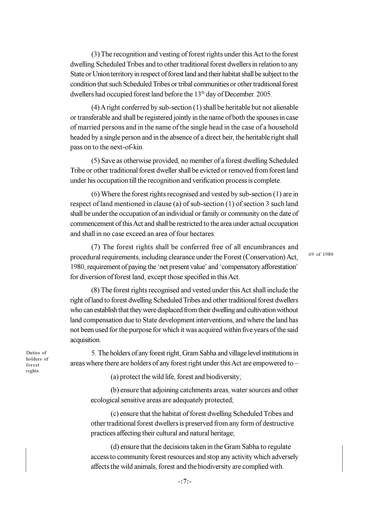(3) The recognition and vesting of forest rights under this Act to the forest dwelling Scheduled Tribes and to other traditional forest dwellers in relation to any State or Union territory in respect of forest land and their habitat shall be subject to the condition that such Scheduled Tribes or tribal communities or other traditional forest dwellers had occupied forest land before the 13<sup>th</sup> day of December, 2005.

 $(4)$  A right conferred by sub-section  $(1)$  shall be heritable but not alienable or transferable and shall be registered jointly in the name of both the spouses in case of married persons and in the name of the single head in the case of a household headed by a single person and in the absence of a direct heir, the heritable right shall pass on to the next-of-kin.

(5) Save as otherwise provided, no member of a forest dwelling Scheduled Tribe or other traditional forest dweller shall be evicted or removed from forest land under his occupation till the recognition and verification process is complete.

 $(6)$  Where the forest rights recognised and vested by sub-section  $(1)$  are in respect of land mentioned in clause (a) of sub-section (1) of section 3 such land shall be under the occupation of an individual or family or community on the date of commencement of this Act and shall be restricted to the area under actual occupation and shall in no case exceed an area of four hectares.

(7) The forest rights shall be conferred free of all encumbrances and procedural requirements, including clearance under the Forest (Conservation) Act, 1980, requirement of paying the 'net present value' and 'compensatory afforestation' for diversion of forest land, except those specified in this Act.

69 of 1980

(8) The forest rights recognised and vested under this Act shall include the right of land to forest dwelling Scheduled Tribes and other traditional forest dwellers who can establish that they were displaced from their dwelling and cultivation without land compensation due to State development interventions, and where the land has not been used for the purpose for which it was acquired within five years of the said acquisition.

Duties of holders of forest rights.

5. The holders of any forest right, Gram Sabha and village level institutions in areas where there are holders of any forest right under this Act are empowered to –

(a) protect the wild life, forest and biodiversity;

(b) ensure that adjoining catchments areas, water sources and other ecological sensitive areas are adequately protected;

(c) ensure that the habitat of forest dwelling Scheduled Tribes and other traditional forest dwellers is preserved from any form of destructive practices affecting their cultural and natural heritage;

(d) ensure that the decisions taken in the Gram Sabha to regulate access to community forest resources and stop any activity which adversely affects the wild animals, forest and the biodiversity are complied with.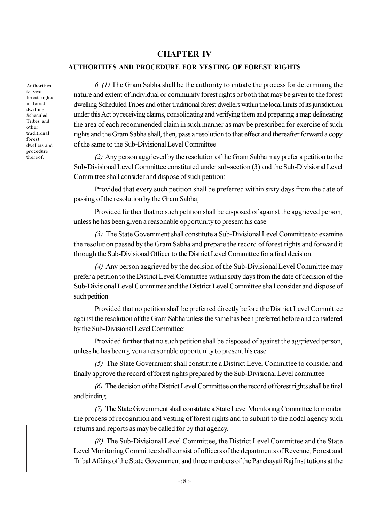# **CHAPTER IV**

### **AUTHORITIES AND PROCEDURE FOR VESTING OF FOREST RIGHTS**

Authorities to vest forest rights in forest dwelling Scheduled Tribes and other traditional forest dwellers and procedure thereof

6. (1) The Gram Sabha shall be the authority to initiate the process for determining the nature and extent of individual or community forest rights or both that may be given to the forest dwelling Scheduled Tribes and other traditional forest dwellers within the local limits of its jurisdiction under this Act by receiving claims, consolidating and verifying them and preparing a map delineating the area of each recommended claim in such manner as may be prescribed for exercise of such rights and the Gram Sabha shall, then, pass a resolution to that effect and thereafter forward a copy of the same to the Sub-Divisional Level Committee.

(2) Any person aggrieved by the resolution of the Gram Sabha may prefer a petition to the Sub-Divisional Level Committee constituted under sub-section (3) and the Sub-Divisional Level Committee shall consider and dispose of such petition;

Provided that every such petition shall be preferred within sixty days from the date of passing of the resolution by the Gram Sabha;

Provided further that no such petition shall be disposed of against the aggrieved person, unless he has been given a reasonable opportunity to present his case.

(3) The State Government shall constitute a Sub-Divisional Level Committee to examine the resolution passed by the Gram Sabha and prepare the record of forest rights and forward it through the Sub-Divisional Officer to the District Level Committee for a final decision.

(4) Any person aggrieved by the decision of the Sub-Divisional Level Committee may prefer a petition to the District Level Committee within sixty days from the date of decision of the Sub-Divisional Level Committee and the District Level Committee shall consider and dispose of such petition:

Provided that no petition shall be preferred directly before the District Level Committee against the resolution of the Gram Sabha unless the same has been preferred before and considered by the Sub-Divisional Level Committee:

Provided further that no such petition shall be disposed of against the aggrieved person, unless he has been given a reasonable opportunity to present his case.

(5) The State Government shall constitute a District Level Committee to consider and finally approve the record of forest rights prepared by the Sub-Divisional Level committee.

(6) The decision of the District Level Committee on the record of forest rights shall be final and binding.

(7) The State Government shall constitute a State Level Monitoring Committee to monitor the process of recognition and vesting of forest rights and to submit to the nodal agency such returns and reports as may be called for by that agency.

(8) The Sub-Divisional Level Committee, the District Level Committee and the State Level Monitoring Committee shall consist of officers of the departments of Revenue, Forest and Tribal Affairs of the State Government and three members of the Panchayati Raj Institutions at the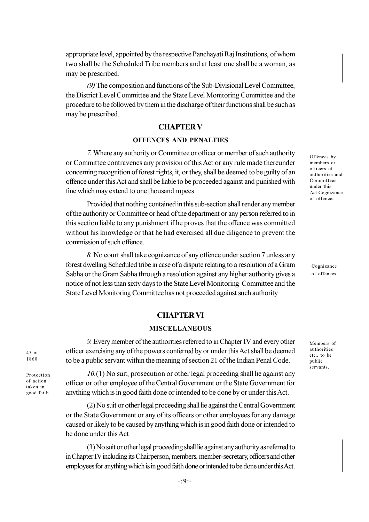appropriate level, appointed by the respective Panchayati Raj Institutions, of whom two shall be the Scheduled Tribe members and at least one shall be a woman, as may be prescribed.

(9) The composition and functions of the Sub-Divisional Level Committee, the District Level Committee and the State Level Monitoring Committee and the procedure to be followed by them in the discharge of their functions shall be such as may be prescribed.

# **CHAPTER V**

# **OFFENCES AND PENALTIES**

7. Where any authority or Committee or officer or member of such authority or Committee contravenes any provision of this Act or any rule made thereunder concerning recognition of forest rights, it, or they, shall be deemed to be guilty of an offence under this Act and shall be liable to be proceeded against and punished with fine which may extend to one thousand rupees:

Provided that nothing contained in this sub-section shall render any member of the authority or Committee or head of the department or any person referred to in this section liable to any punishment if he proves that the offence was committed without his knowledge or that he had exercised all due diligence to prevent the commission of such offence.

8. No court shall take cognizance of any offence under section 7 unless any forest dwelling Scheduled tribe in case of a dispute relating to a resolution of a Gram Sabha or the Gram Sabha through a resolution against any higher authority gives a notice of not less than sixty days to the State Level Monitoring Committee and the State Level Monitoring Committee has not proceeded against such authority

**CHAPTER VI** 

**MISCELLANEOUS** 

officer exercising any of the powers conferred by or under this Act shall be deemed

to be a public servant within the meaning of section 21 of the Indian Penal Code.

9. Every member of the authorities referred to in Chapter IV and every other

#### Offences by members or officers of authorities and Committees under this Act.Cognizance of offences.

Cognizance of offences.

Members of authorities etc., to be public servants.

1860 Protection

 $45$  of

of action taken in good faith

 $10.(1)$  No suit, prosecution or other legal proceeding shall lie against any officer or other employee of the Central Government or the State Government for anything which is in good faith done or intended to be done by or under this Act.

(2) No suit or other legal proceeding shall lie against the Central Government or the State Government or any of its officers or other employees for any damage caused or likely to be caused by anything which is in good faith done or intended to be done under this Act.

(3) No suit or other legal proceeding shall lie against any authority as referred to in Chapter IV including its Chairperson, members, member-secretary, officers and other employees for anything which is in good faith done or intended to be done under this Act.